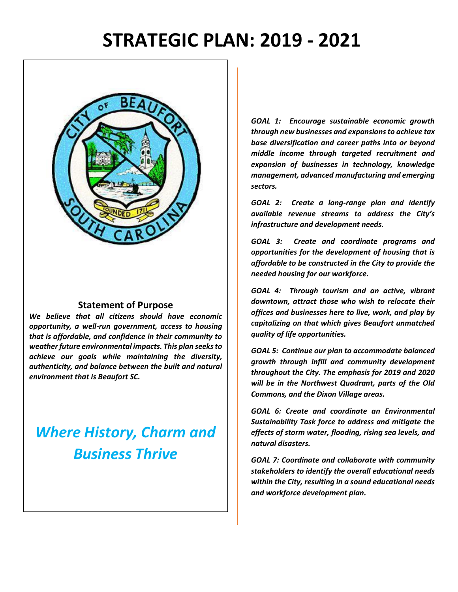# **STRATEGIC PLAN: 2019 - 2021**



#### **Statement of Purpose**

*We believe that all citizens should have economic opportunity, a well-run government, access to housing that is affordable, and confidence in their community to weather future environmental impacts. This plan seeks to achieve our goals while maintaining the diversity, authenticity, and balance between the built and natural environment that is Beaufort SC.* 

## *Where History, Charm and Business Thrive*

*GOAL 1: Encourage sustainable economic growth through new businesses and expansions to achieve tax base diversification and career paths into or beyond middle income through targeted recruitment and expansion of businesses in technology, knowledge management, advanced manufacturing and emerging sectors.* 

*GOAL 2: Create a long-range plan and identify available revenue streams to address the City's infrastructure and development needs.*

*GOAL 3: Create and coordinate programs and opportunities for the development of housing that is affordable to be constructed in the City to provide the needed housing for our workforce.*

*GOAL 4: Through tourism and an active, vibrant downtown, attract those who wish to relocate their offices and businesses here to live, work, and play by capitalizing on that which gives Beaufort unmatched quality of life opportunities.* 

*GOAL 5: Continue our plan to accommodate balanced growth through infill and community development throughout the City. The emphasis for 2019 and 2020 will be in the Northwest Quadrant, parts of the Old Commons, and the Dixon Village areas.* 

*GOAL 6: Create and coordinate an Environmental Sustainability Task force to address and mitigate the effects of storm water, flooding, rising sea levels, and natural disasters.* 

*GOAL 7: Coordinate and collaborate with community stakeholders to identify the overall educational needs within the City, resulting in a sound educational needs and workforce development plan.*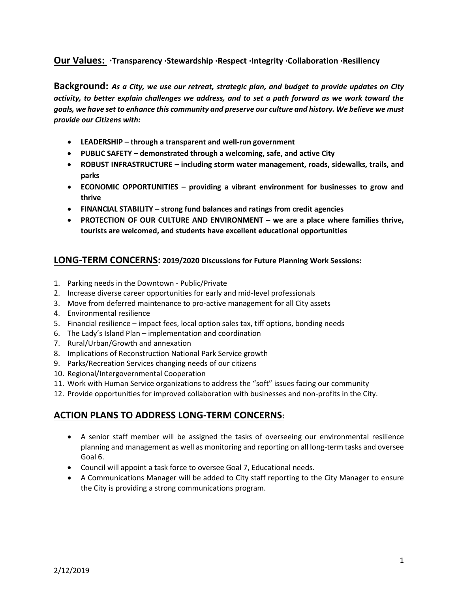#### **Our Values: ·Transparency ·Stewardship ·Respect ·Integrity ·Collaboration ·Resiliency**

**Background:** *As a City, we use our retreat, strategic plan, and budget to provide updates on City activity, to better explain challenges we address, and to set a path forward as we work toward the goals, we have set to enhance this community and preserve our culture and history. We believe we must provide our Citizens with:*

- **LEADERSHIP – through a transparent and well-run government**
- **PUBLIC SAFETY – demonstrated through a welcoming, safe, and active City**
- **ROBUST INFRASTRUCTURE – including storm water management, roads, sidewalks, trails, and parks**
- **ECONOMIC OPPORTUNITIES – providing a vibrant environment for businesses to grow and thrive**
- **FINANCIAL STABILITY – strong fund balances and ratings from credit agencies**
- **PROTECTION OF OUR CULTURE AND ENVIRONMENT – we are a place where families thrive, tourists are welcomed, and students have excellent educational opportunities**

#### **LONG-TERM CONCERNS: 2019/2020 Discussions for Future Planning Work Sessions:**

- 1. Parking needs in the Downtown Public/Private
- 2. Increase diverse career opportunities for early and mid-level professionals
- 3. Move from deferred maintenance to pro-active management for all City assets
- 4. Environmental resilience
- 5. Financial resilience impact fees, local option sales tax, tiff options, bonding needs
- 6. The Lady's Island Plan implementation and coordination
- 7. Rural/Urban/Growth and annexation
- 8. Implications of Reconstruction National Park Service growth
- 9. Parks/Recreation Services changing needs of our citizens
- 10. Regional/Intergovernmental Cooperation
- 11. Work with Human Service organizations to address the "soft" issues facing our community
- 12. Provide opportunities for improved collaboration with businesses and non-profits in the City.

### **ACTION PLANS TO ADDRESS LONG-TERM CONCERNS:**

- A senior staff member will be assigned the tasks of overseeing our environmental resilience planning and management as well as monitoring and reporting on all long-term tasks and oversee Goal 6.
- Council will appoint a task force to oversee Goal 7, Educational needs.
- A Communications Manager will be added to City staff reporting to the City Manager to ensure the City is providing a strong communications program.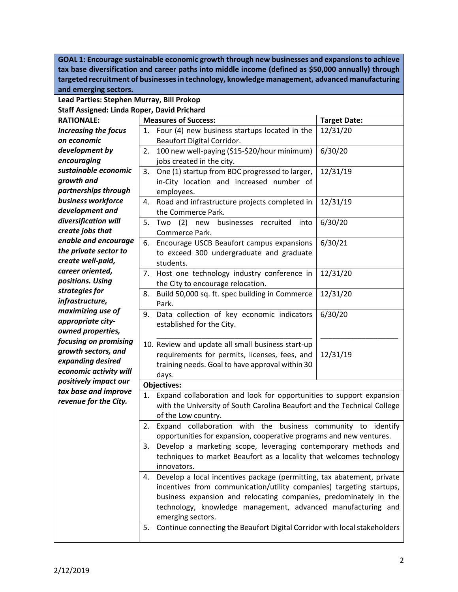**GOAL 1: Encourage sustainable economic growth through new businesses and expansions to achieve tax base diversification and career paths into middle income (defined as \$50,000 annually) through targeted recruitment of businesses in technology, knowledge management, advanced manufacturing and emerging sectors. Lead Parties: Stephen Murray, Bill Prokop Staff Assigned: Linda Roper, David Prichard RATIONALE:** *Increasing the focus on economic development by encouraging sustainable economic growth and partnerships through business workforce development and diversification will create jobs that enable and encourage the private sector to create well-paid, career oriented, positions. Using strategies for infrastructure, maximizing use of appropriate cityowned properties, focusing on promising growth sectors, and expanding desired economic activity will positively impact our tax base and improve revenue for the City.*  **Measures of Success: Target Date:** 1. Four (4) new business startups located in the Beaufort Digital Corridor. 12/31/20 2. 100 new well-paying (\$15-\$20/hour minimum) jobs created in the city. 6/30/20 3. One (1) startup from BDC progressed to larger, in-City location and increased number of employees. 12/31/19 4. Road and infrastructure projects completed in the Commerce Park. 12/31/19 5. Two (2) new businesses recruited into Commerce Park. 6/30/20 6. Encourage USCB Beaufort campus expansions to exceed 300 undergraduate and graduate students. 6/30/21 7. Host one technology industry conference in the City to encourage relocation. 12/31/20 8. Build 50,000 sq. ft. spec building in Commerce Park. 12/31/20 9. Data collection of key economic indicators established for the City. \_\_\_\_\_\_\_\_\_\_\_\_\_\_\_\_\_\_\_\_\_\_\_\_\_\_\_\_\_\_\_\_\_\_\_\_\_\_ 10. Review and update all small business start-up requirements for permits, licenses, fees, and training needs. Goal to have approval within 30 days. 6/30/20 \_\_\_\_\_\_\_\_\_\_\_\_\_\_\_\_\_\_\_ 12/31/19 **Objectives:** 1. Expand collaboration and look for opportunities to support expansion with the University of South Carolina Beaufort and the Technical College of the Low country. 2. Expand collaboration with the business community to identify opportunities for expansion, cooperative programs and new ventures. 3. Develop a marketing scope, leveraging contemporary methods and techniques to market Beaufort as a locality that welcomes technology innovators. 4. Develop a local incentives package (permitting, tax abatement, private incentives from communication/utility companies) targeting startups, business expansion and relocating companies, predominately in the technology, knowledge management, advanced manufacturing and emerging sectors. 5. Continue connecting the Beaufort Digital Corridor with local stakeholders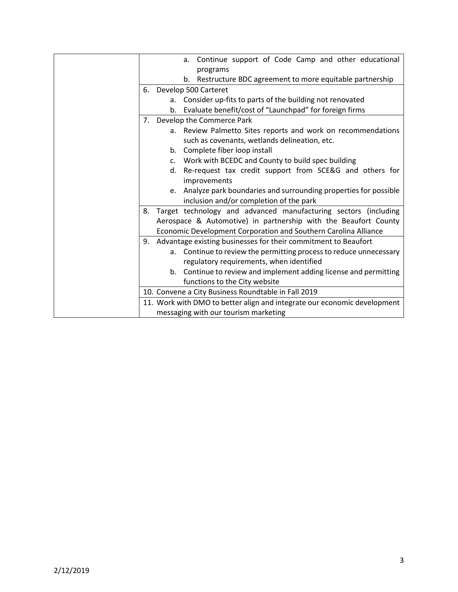|                                                                          |    | Continue support of Code Camp and other educational<br>a.         |
|--------------------------------------------------------------------------|----|-------------------------------------------------------------------|
|                                                                          |    | programs                                                          |
|                                                                          |    | Restructure BDC agreement to more equitable partnership<br>b.     |
|                                                                          |    | 6. Develop 500 Carteret                                           |
|                                                                          |    | a. Consider up-fits to parts of the building not renovated        |
|                                                                          |    | b. Evaluate benefit/cost of "Launchpad" for foreign firms         |
|                                                                          |    | 7. Develop the Commerce Park                                      |
|                                                                          |    | a. Review Palmetto Sites reports and work on recommendations      |
|                                                                          |    | such as covenants, wetlands delineation, etc.                     |
|                                                                          |    | b. Complete fiber loop install                                    |
|                                                                          |    | c. Work with BCEDC and County to build spec building              |
|                                                                          | d. | Re-request tax credit support from SCE&G and others for           |
|                                                                          |    | improvements                                                      |
|                                                                          | e. | Analyze park boundaries and surrounding properties for possible   |
|                                                                          |    | inclusion and/or completion of the park                           |
| 8.                                                                       |    | Target technology and advanced manufacturing sectors (including   |
|                                                                          |    | Aerospace & Automotive) in partnership with the Beaufort County   |
|                                                                          |    | Economic Development Corporation and Southern Carolina Alliance   |
|                                                                          |    | 9. Advantage existing businesses for their commitment to Beaufort |
|                                                                          | а. | Continue to review the permitting process to reduce unnecessary   |
|                                                                          |    | regulatory requirements, when identified                          |
|                                                                          |    | b. Continue to review and implement adding license and permitting |
|                                                                          |    | functions to the City website                                     |
|                                                                          |    | 10. Convene a City Business Roundtable in Fall 2019               |
| 11. Work with DMO to better align and integrate our economic development |    |                                                                   |
|                                                                          |    | messaging with our tourism marketing                              |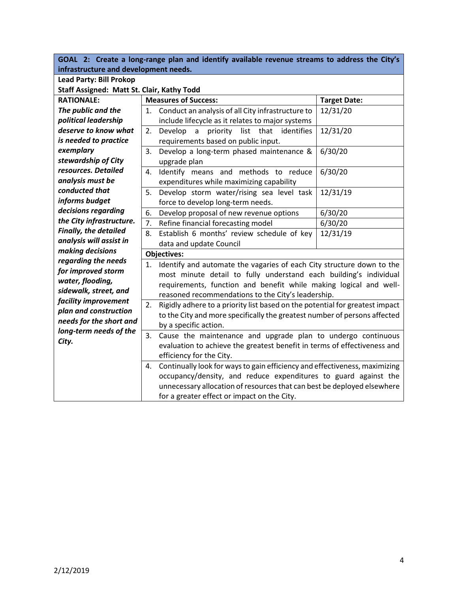**GOAL 2: Create a long-range plan and identify available revenue streams to address the City's infrastructure and development needs.**

| <b>Lead Party: Bill Prokop</b>             |                                                                                       |                                                                              |                     |  |
|--------------------------------------------|---------------------------------------------------------------------------------------|------------------------------------------------------------------------------|---------------------|--|
| Staff Assigned: Matt St. Clair, Kathy Todd |                                                                                       |                                                                              |                     |  |
| <b>RATIONALE:</b>                          |                                                                                       | <b>Measures of Success:</b>                                                  | <b>Target Date:</b> |  |
| The public and the                         | 1.                                                                                    | Conduct an analysis of all City infrastructure to                            | 12/31/20            |  |
| political leadership                       |                                                                                       | include lifecycle as it relates to major systems                             |                     |  |
| deserve to know what                       | 2.                                                                                    | Develop<br>priority<br>list that<br>identifies<br>$\mathsf{a}$               | 12/31/20            |  |
| is needed to practice                      |                                                                                       | requirements based on public input.                                          |                     |  |
| exemplary                                  | 3.                                                                                    | Develop a long-term phased maintenance &                                     | 6/30/20             |  |
| stewardship of City                        |                                                                                       | upgrade plan                                                                 |                     |  |
| resources. Detailed                        | 4.                                                                                    | Identify means and methods to reduce                                         | 6/30/20             |  |
| analysis must be                           |                                                                                       | expenditures while maximizing capability                                     |                     |  |
| conducted that                             | 5.                                                                                    | Develop storm water/rising sea level task                                    | 12/31/19            |  |
| informs budget                             |                                                                                       | force to develop long-term needs.                                            |                     |  |
| decisions regarding                        | 6.                                                                                    | Develop proposal of new revenue options                                      | 6/30/20             |  |
| the City infrastructure.                   | 7.                                                                                    | Refine financial forecasting model                                           | 6/30/20             |  |
| <b>Finally, the detailed</b>               | 8.                                                                                    | Establish 6 months' review schedule of key                                   | 12/31/19            |  |
| analysis will assist in                    |                                                                                       | data and update Council                                                      |                     |  |
| making decisions                           |                                                                                       |                                                                              |                     |  |
| regarding the needs                        | 1.                                                                                    | Identify and automate the vagaries of each City structure down to the        |                     |  |
| for improved storm                         |                                                                                       | most minute detail to fully understand each building's individual            |                     |  |
|                                            | water, flooding,<br>requirements, function and benefit while making logical and well- |                                                                              |                     |  |
| sidewalk, street, and                      |                                                                                       | reasoned recommendations to the City's leadership.                           |                     |  |
| facility improvement                       | 2.                                                                                    | Rigidly adhere to a priority list based on the potential for greatest impact |                     |  |
| plan and construction                      |                                                                                       | to the City and more specifically the greatest number of persons affected    |                     |  |
| needs for the short and                    |                                                                                       | by a specific action.                                                        |                     |  |
| long-term needs of the                     | Cause the maintenance and upgrade plan to undergo continuous<br>3.                    |                                                                              |                     |  |
| City.                                      |                                                                                       | evaluation to achieve the greatest benefit in terms of effectiveness and     |                     |  |
|                                            |                                                                                       | efficiency for the City.                                                     |                     |  |
|                                            | 4.                                                                                    | Continually look for ways to gain efficiency and effectiveness, maximizing   |                     |  |
|                                            |                                                                                       | occupancy/density, and reduce expenditures to guard against the              |                     |  |
|                                            | unnecessary allocation of resources that can best be deployed elsewhere               |                                                                              |                     |  |
|                                            |                                                                                       | for a greater effect or impact on the City.                                  |                     |  |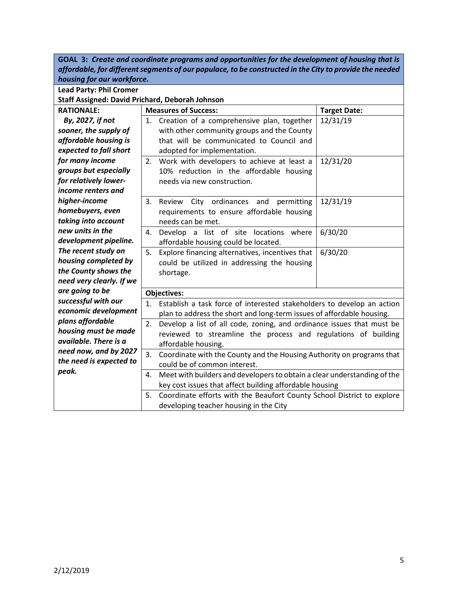**GOAL 3:** *Create and coordinate programs and opportunities for the development of housing that is affordable, for different segments of our populace, to be constructed in the City to provide the needed housing for our workforce.*

| <b>Lead Party: Phil Cromer</b>                  |                                                                                |  |  |  |
|-------------------------------------------------|--------------------------------------------------------------------------------|--|--|--|
| Staff Assigned: David Prichard, Deborah Johnson |                                                                                |  |  |  |
| <b>RATIONALE:</b>                               | <b>Measures of Success:</b><br><b>Target Date:</b>                             |  |  |  |
| By, 2027, if not                                | 12/31/19<br>Creation of a comprehensive plan, together<br>1.                   |  |  |  |
| sooner, the supply of                           | with other community groups and the County                                     |  |  |  |
| affordable housing is                           | that will be communicated to Council and                                       |  |  |  |
| expected to fall short                          | adopted for implementation.                                                    |  |  |  |
| for many income                                 | 12/31/20<br>Work with developers to achieve at least a<br>2.                   |  |  |  |
| groups but especially                           | 10% reduction in the affordable housing                                        |  |  |  |
| for relatively lower-                           | needs via new construction.                                                    |  |  |  |
| income renters and                              |                                                                                |  |  |  |
| higher-income                                   | 12/31/19<br>Review City ordinances and<br>3.<br>permitting                     |  |  |  |
| homebuyers, even                                | requirements to ensure affordable housing                                      |  |  |  |
| taking into account                             | needs can be met.                                                              |  |  |  |
| new units in the                                | 6/30/20<br>Develop a list of site locations where<br>4.                        |  |  |  |
| development pipeline.                           | affordable housing could be located.                                           |  |  |  |
| The recent study on                             | 6/30/20<br>5.<br>Explore financing alternatives, incentives that               |  |  |  |
| housing completed by                            | could be utilized in addressing the housing                                    |  |  |  |
| the County shows the                            | shortage.                                                                      |  |  |  |
| need very clearly. If we                        |                                                                                |  |  |  |
| are going to be                                 | <b>Objectives:</b>                                                             |  |  |  |
| successful with our                             | Establish a task force of interested stakeholders to develop an action<br>1.   |  |  |  |
| economic development                            | plan to address the short and long-term issues of affordable housing.          |  |  |  |
| plans affordable                                | Develop a list of all code, zoning, and ordinance issues that must be          |  |  |  |
| housing must be made                            | 2.<br>reviewed to streamline the process and regulations of building           |  |  |  |
| available. There is a                           | affordable housing.                                                            |  |  |  |
| need now, and by 2027                           | Coordinate with the County and the Housing Authority on programs that<br>3.    |  |  |  |
| the need is expected to                         | could be of common interest.                                                   |  |  |  |
| peak.                                           | Meet with builders and developers to obtain a clear understanding of the<br>4. |  |  |  |
|                                                 | key cost issues that affect building affordable housing                        |  |  |  |
|                                                 | Coordinate efforts with the Beaufort County School District to explore<br>5.   |  |  |  |
|                                                 | developing teacher housing in the City                                         |  |  |  |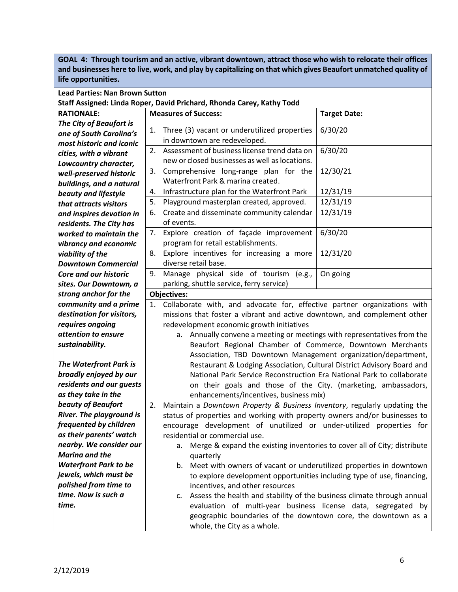**GOAL 4: Through tourism and an active, vibrant downtown, attract those who wish to relocate their offices and businesses here to live, work, and play by capitalizing on that which gives Beaufort unmatched quality of life opportunities.** 

| <b>Lead Parties: Nan Brown Sutton</b> |  |
|---------------------------------------|--|
|---------------------------------------|--|

**Staff Assigned: Linda Roper, David Prichard, Rhonda Carey, Kathy Todd**

| <b>RATIONALE:</b>              |
|--------------------------------|
| <b>The City of Beaufort is</b> |
| one of South Carolina's        |
| most historic and iconic       |
| cities, with a vibrant         |
| Lowcountry character,          |
| well-preserved historic        |
| buildings, and a natural       |
| beauty and lifestyle           |
| that attracts visitors         |
| and inspires devotion in       |
| residents. The City has        |
| worked to maintain the         |
| vibrancy and economic          |
| viability of the               |
| <b>Downtown Commercial</b>     |
| Core and our historic          |
| sites. Our Downtown, a         |
| strong anchor for the          |
| community and a prime          |
| destination for visitors,      |
| requires ongoing               |
| attention to ensure            |
| sustainability.                |
| <b>The Waterfront Park is</b>  |
| broadly enjoyed by our         |
| pridonte que deux august       |

*residents and our gu as they take in the beauty of Beaufort*  **River. The playgroun** *frequented by childre*  $as$  *their parents<sup>'</sup> wat nearby. We consider Marina and the*  **Waterfront Park to b** *jewels, which must b polished from time to time. Now is such a time.* 

|    | <b>Measures of Success:</b>                                                                                                                                                                                                                                                                                                                                                                                                                                                                                                                                                                                                                                                        | <b>Target Date:</b> |  |  |  |
|----|------------------------------------------------------------------------------------------------------------------------------------------------------------------------------------------------------------------------------------------------------------------------------------------------------------------------------------------------------------------------------------------------------------------------------------------------------------------------------------------------------------------------------------------------------------------------------------------------------------------------------------------------------------------------------------|---------------------|--|--|--|
| 1. | Three (3) vacant or underutilized properties<br>in downtown are redeveloped.                                                                                                                                                                                                                                                                                                                                                                                                                                                                                                                                                                                                       | 6/30/20             |  |  |  |
| 2. | Assessment of business license trend data on<br>new or closed businesses as well as locations.                                                                                                                                                                                                                                                                                                                                                                                                                                                                                                                                                                                     | 6/30/20             |  |  |  |
| 3. | Comprehensive long-range plan for the<br>Waterfront Park & marina created.                                                                                                                                                                                                                                                                                                                                                                                                                                                                                                                                                                                                         | 12/30/21            |  |  |  |
| 4. | Infrastructure plan for the Waterfront Park                                                                                                                                                                                                                                                                                                                                                                                                                                                                                                                                                                                                                                        | 12/31/19            |  |  |  |
| 5. | Playground masterplan created, approved.                                                                                                                                                                                                                                                                                                                                                                                                                                                                                                                                                                                                                                           | 12/31/19            |  |  |  |
| 6. | Create and disseminate community calendar<br>of events.                                                                                                                                                                                                                                                                                                                                                                                                                                                                                                                                                                                                                            | 12/31/19            |  |  |  |
| 7. | Explore creation of façade improvement<br>program for retail establishments.                                                                                                                                                                                                                                                                                                                                                                                                                                                                                                                                                                                                       | 6/30/20             |  |  |  |
| 8. | Explore incentives for increasing a more<br>diverse retail base.                                                                                                                                                                                                                                                                                                                                                                                                                                                                                                                                                                                                                   | 12/31/20            |  |  |  |
| 9. | Manage physical side of tourism (e.g.,<br>parking, shuttle service, ferry service)                                                                                                                                                                                                                                                                                                                                                                                                                                                                                                                                                                                                 | On going            |  |  |  |
|    | <b>Objectives:</b>                                                                                                                                                                                                                                                                                                                                                                                                                                                                                                                                                                                                                                                                 |                     |  |  |  |
|    | Collaborate with, and advocate for, effective partner organizations with<br>1.<br>missions that foster a vibrant and active downtown, and complement other<br>redevelopment economic growth initiatives<br>Annually convene a meeting or meetings with representatives from the<br>а.<br>Beaufort Regional Chamber of Commerce, Downtown Merchants<br>Association, TBD Downtown Management organization/department,<br>Restaurant & Lodging Association, Cultural District Advisory Board and<br>National Park Service Reconstruction Era National Park to collaborate<br>on their goals and those of the City. (marketing, ambassadors,<br>enhancements/incentives, business mix) |                     |  |  |  |
| 2. | Maintain a Downtown Property & Business Inventory, regularly updating the<br>status of properties and working with property owners and/or businesses to<br>encourage development of unutilized or under-utilized properties for<br>residential or commercial use.<br>Merge & expand the existing inventories to cover all of City; distribute<br>quarterly<br>Meet with owners of vacant or underutilized properties in downtown<br>b.<br>to explore development opportunities including type of use, financing,<br>incentives, and other resources                                                                                                                                |                     |  |  |  |
|    | Assess the health and stability of the business climate through annual<br>c.<br>evaluation of multi-year business license data, segregated by                                                                                                                                                                                                                                                                                                                                                                                                                                                                                                                                      |                     |  |  |  |

geographic boundaries of the downtown core, the downtown as a

whole, the City as a whole.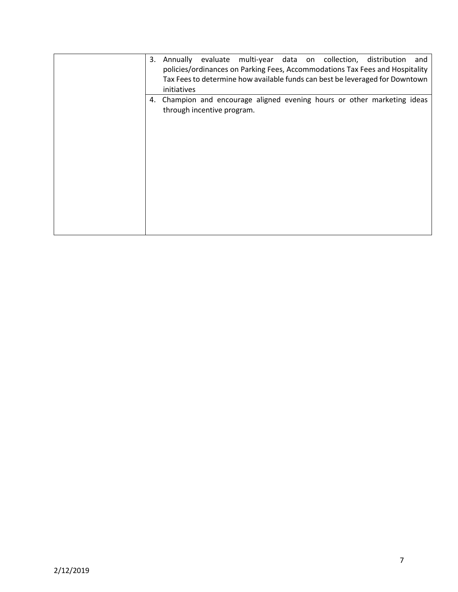| 3. | Annually evaluate multi-year data on collection, distribution<br>and<br>policies/ordinances on Parking Fees, Accommodations Tax Fees and Hospitality<br>Tax Fees to determine how available funds can best be leveraged for Downtown<br>initiatives |
|----|-----------------------------------------------------------------------------------------------------------------------------------------------------------------------------------------------------------------------------------------------------|
|    | 4. Champion and encourage aligned evening hours or other marketing ideas<br>through incentive program.                                                                                                                                              |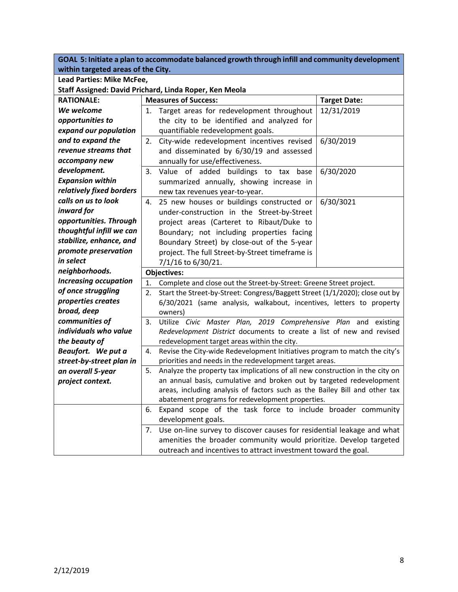| GOAL 5: initiate a plan to accommodate balanced growth through infill and community development i<br>within targeted areas of the City. |                                                                                                                                                            |                                                                              |  |  |
|-----------------------------------------------------------------------------------------------------------------------------------------|------------------------------------------------------------------------------------------------------------------------------------------------------------|------------------------------------------------------------------------------|--|--|
| Lead Parties: Mike McFee,                                                                                                               |                                                                                                                                                            |                                                                              |  |  |
|                                                                                                                                         | Staff Assigned: David Prichard, Linda Roper, Ken Meola                                                                                                     |                                                                              |  |  |
| <b>RATIONALE:</b>                                                                                                                       | <b>Measures of Success:</b>                                                                                                                                | <b>Target Date:</b>                                                          |  |  |
| We welcome                                                                                                                              | Target areas for redevelopment throughout<br>1.                                                                                                            | 12/31/2019                                                                   |  |  |
| opportunities to                                                                                                                        | the city to be identified and analyzed for                                                                                                                 |                                                                              |  |  |
| expand our population                                                                                                                   | quantifiable redevelopment goals.                                                                                                                          |                                                                              |  |  |
| and to expand the                                                                                                                       | City-wide redevelopment incentives revised<br>2.                                                                                                           | 6/30/2019                                                                    |  |  |
| revenue streams that                                                                                                                    | and disseminated by 6/30/19 and assessed                                                                                                                   |                                                                              |  |  |
| accompany new                                                                                                                           | annually for use/effectiveness.                                                                                                                            |                                                                              |  |  |
| development.                                                                                                                            | 3.<br>Value of added buildings to tax base                                                                                                                 | 6/30/2020                                                                    |  |  |
| <b>Expansion within</b>                                                                                                                 | summarized annually, showing increase in                                                                                                                   |                                                                              |  |  |
| relatively fixed borders                                                                                                                | new tax revenues year-to-year.                                                                                                                             |                                                                              |  |  |
| calls on us to look                                                                                                                     | 25 new houses or buildings constructed or<br>4.                                                                                                            | 6/30/3021                                                                    |  |  |
| inward for                                                                                                                              | under-construction in the Street-by-Street                                                                                                                 |                                                                              |  |  |
| opportunities. Through                                                                                                                  | project areas (Carteret to Ribaut/Duke to                                                                                                                  |                                                                              |  |  |
| thoughtful infill we can                                                                                                                | Boundary; not including properties facing                                                                                                                  |                                                                              |  |  |
| stabilize, enhance, and                                                                                                                 | Boundary Street) by close-out of the 5-year                                                                                                                |                                                                              |  |  |
| promote preservation                                                                                                                    | project. The full Street-by-Street timeframe is                                                                                                            |                                                                              |  |  |
| in select                                                                                                                               | 7/1/16 to 6/30/21.                                                                                                                                         |                                                                              |  |  |
| neighborhoods.                                                                                                                          | <b>Objectives:</b>                                                                                                                                         |                                                                              |  |  |
| <b>Increasing occupation</b>                                                                                                            | 1.<br>Complete and close out the Street-by-Street: Greene Street project.                                                                                  |                                                                              |  |  |
| of once struggling                                                                                                                      | 2.                                                                                                                                                         | Start the Street-by-Street: Congress/Baggett Street (1/1/2020); close out by |  |  |
| properties creates                                                                                                                      | 6/30/2021 (same analysis, walkabout, incentives, letters to property                                                                                       |                                                                              |  |  |
| broad, deep                                                                                                                             | owners)                                                                                                                                                    |                                                                              |  |  |
| communities of                                                                                                                          | 3.                                                                                                                                                         | Utilize Civic Master Plan, 2019 Comprehensive Plan and existing              |  |  |
| individuals who value                                                                                                                   | Redevelopment District documents to create a list of new and revised                                                                                       |                                                                              |  |  |
| the beauty of                                                                                                                           | redevelopment target areas within the city.                                                                                                                |                                                                              |  |  |
| Beaufort. We put a                                                                                                                      | Revise the City-wide Redevelopment Initiatives program to match the city's<br>4.                                                                           |                                                                              |  |  |
| street-by-street plan in                                                                                                                | priorities and needs in the redevelopment target areas.                                                                                                    |                                                                              |  |  |
| an overall 5-year                                                                                                                       | Analyze the property tax implications of all new construction in the city on<br>5.<br>an annual basis, cumulative and broken out by targeted redevelopment |                                                                              |  |  |
| project context.                                                                                                                        | areas, including analysis of factors such as the Bailey Bill and other tax                                                                                 |                                                                              |  |  |
|                                                                                                                                         | abatement programs for redevelopment properties.                                                                                                           |                                                                              |  |  |
|                                                                                                                                         | Expand scope of the task force to include broader community<br>6.                                                                                          |                                                                              |  |  |
|                                                                                                                                         | development goals.                                                                                                                                         |                                                                              |  |  |
|                                                                                                                                         | Use on-line survey to discover causes for residential leakage and what<br>7.                                                                               |                                                                              |  |  |
|                                                                                                                                         | amenities the broader community would prioritize. Develop targeted                                                                                         |                                                                              |  |  |
|                                                                                                                                         | outreach and incentives to attract investment toward the goal.                                                                                             |                                                                              |  |  |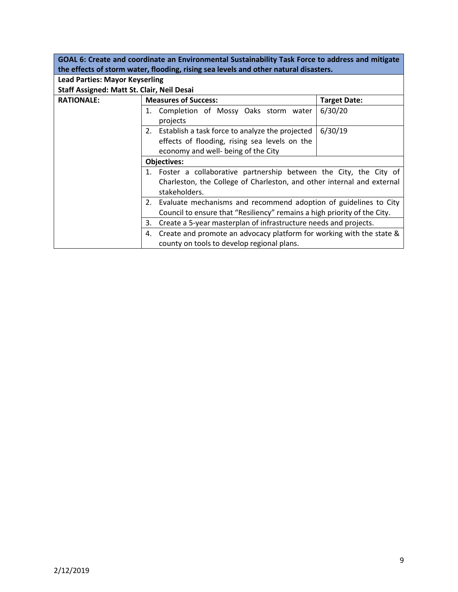**GOAL 6: Create and coordinate an Environmental Sustainability Task Force to address and mitigate the effects of storm water, flooding, rising sea levels and other natural disasters.**

| <b>Lead Parties: Mayor Keyserling</b>      |                                                                                         |                     |  |
|--------------------------------------------|-----------------------------------------------------------------------------------------|---------------------|--|
| Staff Assigned: Matt St. Clair, Neil Desai |                                                                                         |                     |  |
| <b>RATIONALE:</b>                          | <b>Measures of Success:</b>                                                             | <b>Target Date:</b> |  |
|                                            | Completion of Mossy Oaks storm water<br>1.<br>projects                                  | 6/30/20             |  |
|                                            | 2. Establish a task force to analyze the projected                                      | 6/30/19             |  |
|                                            | effects of flooding, rising sea levels on the<br>economy and well- being of the City    |                     |  |
|                                            | Objectives:                                                                             |                     |  |
|                                            | 1. Foster a collaborative partnership between the City, the City of                     |                     |  |
|                                            | Charleston, the College of Charleston, and other internal and external<br>stakeholders. |                     |  |
|                                            | Evaluate mechanisms and recommend adoption of guidelines to City<br>2.                  |                     |  |
|                                            | Council to ensure that "Resiliency" remains a high priority of the City.                |                     |  |
|                                            | Create a 5-year masterplan of infrastructure needs and projects.<br>3.                  |                     |  |
|                                            | Create and promote an advocacy platform for working with the state &<br>4.              |                     |  |
|                                            | county on tools to develop regional plans.                                              |                     |  |